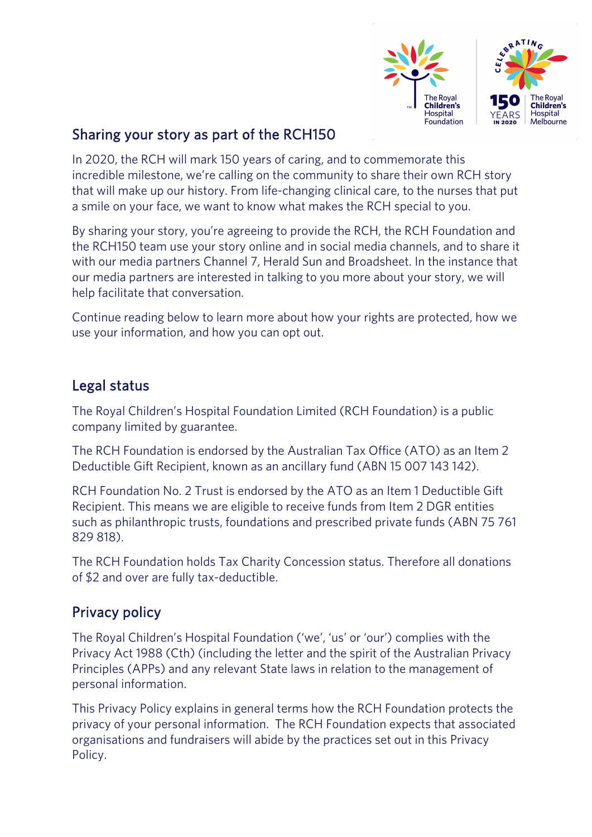

## Sharing your story as part of the RCH150

In 2020, the RCH will mark 150 years of caring, and to commemorate this incredible milestone, we're calling on the community to share their own RCH story that will make up our history. From life-changing clinical care, to the nurses that put a smile on your face, we want to know what makes the RCH special to you.

By sharing your story, you're agreeing to provide the RCH, the RCH Foundation and the RCH150 team use your story online and in social media channels, and to share it with our media partners Channel 7, Herald Sun and Broadsheet. In the instance that our media partners are interested in talking to you more about your story, we will help facilitate that conversation.

Continue reading below to learn more about how your rights are protected, how we use your information, and how you can opt out.

#### Legal status

The Royal Children's Hospital Foundation Limited (RCH Foundation) is a public company limited by guarantee.

The RCH Foundation is endorsed by the Australian Tax Office (ATO) as an Item 2 Deductible Gift Recipient, known as an ancillary fund (ABN 15 007 143 142).

RCH Foundation No. 2 Trust is endorsed by the ATO as an Item 1 Deductible Gift Recipient. This means we are eligible to receive funds from Item 2 DGR entities such as philanthropic trusts, foundations and prescribed private funds (ABN 75 761 829 818).

The RCH Foundation holds Tax Charity Concession status. Therefore all donations of \$2 and over are fully tax-deductible.

## Privacy policy

The Royal Children's Hospital Foundation ('we', 'us' or 'our') complies with the Privacy Act 1988 (Cth) (including the letter and the spirit of the Australian Privacy Principles (APPs) and any relevant State laws in relation to the management of personal information.

This Privacy Policy explains in general terms how the RCH Foundation protects the privacy of your personal information. The RCH Foundation expects that associated organisations and fundraisers will abide by the practices set out in this Privacy Policy.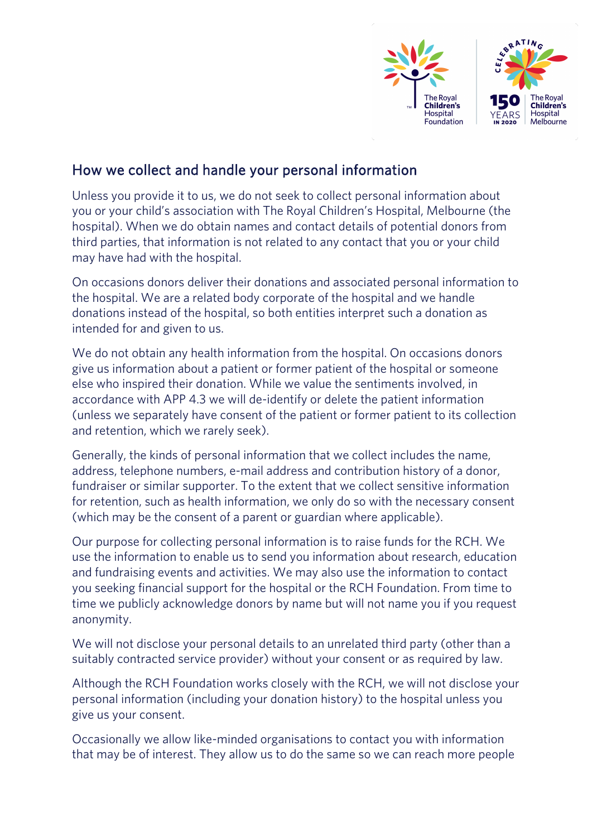

### How we collect and handle your personal information

Unless you provide it to us, we do not seek to collect personal information about you or your child's association with The Royal Children's Hospital, Melbourne (the hospital). When we do obtain names and contact details of potential donors from third parties, that information is not related to any contact that you or your child may have had with the hospital.

On occasions donors deliver their donations and associated personal information to the hospital. We are a related body corporate of the hospital and we handle donations instead of the hospital, so both entities interpret such a donation as intended for and given to us.

We do not obtain any health information from the hospital. On occasions donors give us information about a patient or former patient of the hospital or someone else who inspired their donation. While we value the sentiments involved, in accordance with APP 4.3 we will de-identify or delete the patient information (unless we separately have consent of the patient or former patient to its collection and retention, which we rarely seek).

Generally, the kinds of personal information that we collect includes the name, address, telephone numbers, e-mail address and contribution history of a donor, fundraiser or similar supporter. To the extent that we collect sensitive information for retention, such as health information, we only do so with the necessary consent (which may be the consent of a parent or guardian where applicable).

Our purpose for collecting personal information is to raise funds for the RCH. We use the information to enable us to send you information about research, education and fundraising events and activities. We may also use the information to contact you seeking financial support for the hospital or the RCH Foundation. From time to time we publicly acknowledge donors by name but will not name you if you request anonymity.

We will not disclose your personal details to an unrelated third party (other than a suitably contracted service provider) without your consent or as required by law.

Although the RCH Foundation works closely with the RCH, we will not disclose your personal information (including your donation history) to the hospital unless you give us your consent.

Occasionally we allow like-minded organisations to contact you with information that may be of interest. They allow us to do the same so we can reach more people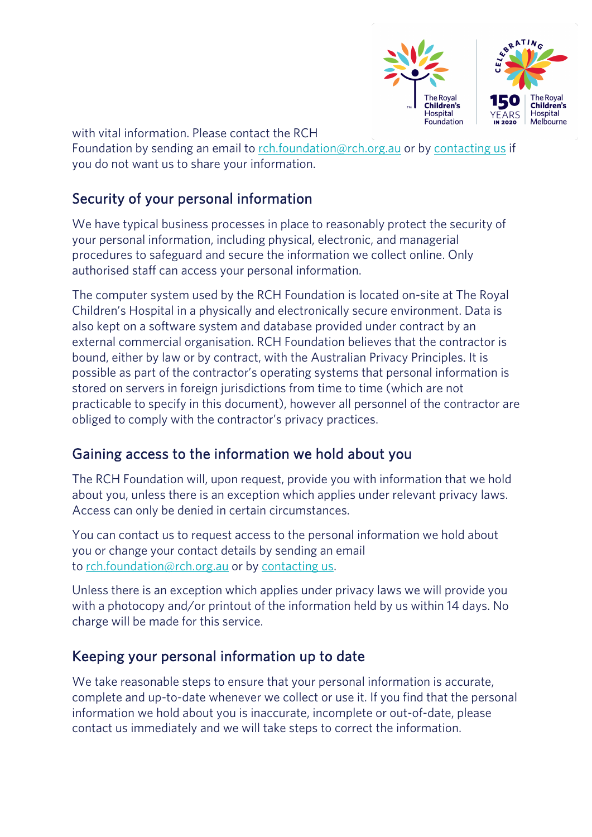

with vital information. Please contact the RCH

Foundation by sending an email to rch.foundation@rch.org.au or by contacting us if you do not want us to share your information.

#### Security of your personal information

We have typical business processes in place to reasonably protect the security of your personal information, including physical, electronic, and managerial procedures to safeguard and secure the information we collect online. Only authorised staff can access your personal information.

The computer system used by the RCH Foundation is located on-site at The Royal Children's Hospital in a physically and electronically secure environment. Data is also kept on a software system and database provided under contract by an external commercial organisation. RCH Foundation believes that the contractor is bound, either by law or by contract, with the Australian Privacy Principles. It is possible as part of the contractor's operating systems that personal information is stored on servers in foreign jurisdictions from time to time (which are not practicable to specify in this document), however all personnel of the contractor are obliged to comply with the contractor's privacy practices.

#### Gaining access to the information we hold about you

The RCH Foundation will, upon request, provide you with information that we hold about you, unless there is an exception which applies under relevant privacy laws. Access can only be denied in certain circumstances.

You can contact us to request access to the personal information we hold about you or change your contact details by sending an email to rch.foundation@rch.org.au or by contacting us.

Unless there is an exception which applies under privacy laws we will provide you with a photocopy and/or printout of the information held by us within 14 days. No charge will be made for this service.

#### Keeping your personal information up to date

We take reasonable steps to ensure that your personal information is accurate, complete and up-to-date whenever we collect or use it. If you find that the personal information we hold about you is inaccurate, incomplete or out-of-date, please contact us immediately and we will take steps to correct the information.